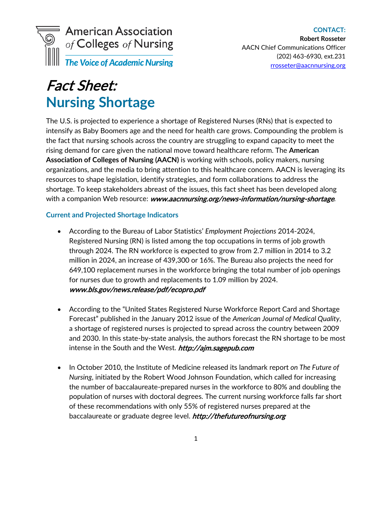

# Fact Sheet: **Nursing Shortage**

The U.S. is projected to experience a shortage of Registered Nurses (RNs) that is expected to intensify as Baby Boomers age and the need for health care grows. Compounding the problem is the fact that nursing schools across the country are struggling to expand capacity to meet the rising demand for care given the national move toward healthcare reform. The **American Association of Colleges of Nursing (AACN)** is working with schools, policy makers, nursing organizations, and the media to bring attention to this healthcare concern. AACN is leveraging its resources to shape legislation, identify strategies, and form collaborations to address the shortage. To keep stakeholders abreast of the issues, this fact sheet has been developed along with a companion Web resource: [www.aacnnursing.org/news-information/nursing-shortage](http://www.aacnnursing.org/news-information/nursing-shortage).

#### **Current and Projected Shortage Indicators**

- According to the Bureau of Labor Statistics' *Employment Projections* 2014-2024, Registered Nursing (RN) is listed among the top occupations in terms of job growth through 2024. The RN workforce is expected to grow from 2.7 million in 2014 to 3.2 million in 2024, an increase of 439,300 or 16%. The Bureau also projects the need for 649,100 replacement nurses in the workforce bringing the total number of job openings for nurses due to growth and replacements to 1.09 million by 2024. [www.bls.gov/news.release/pdf/ecopro.pdf](http://www.bls.gov/news.release/pdf/ecopro.pdf)
- According to the "United States Registered Nurse Workforce Report Card and Shortage Forecast" published in the January 2012 issue of the *American Journal of Medical Quality*, a shortage of registered nurses is projected to spread across the country between 2009 and 2030. In this state-by-state analysis, the authors forecast the RN shortage to be most intense in the South and the West. http://ajm.sagepub.com
- In October 2010, the Institute of Medicine released its landmark report *on The Future of Nursing*, initiated by the Robert Wood Johnson Foundation, which called for increasing the number of baccalaureate-prepared nurses in the workforce to 80% and doubling the population of nurses with doctoral degrees. The current nursing workforce falls far short of these recommendations with only 55% of registered nurses prepared at the baccalaureate or graduate degree level. [http://thefutureofnursing.org](http://thefutureofnursing.org/)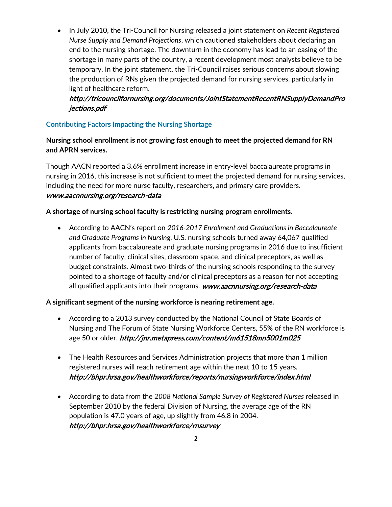• In July 2010, the Tri-Council for Nursing released a joint statement on *Recent Registered Nurse Supply and Demand Projections*, which cautioned stakeholders about declaring an end to the nursing shortage. The downturn in the economy has lead to an easing of the shortage in many parts of the country, a recent development most analysts believe to be temporary. In the joint statement, the Tri-Council raises serious concerns about slowing the production of RNs given the projected demand for nursing services, particularly in light of healthcare reform.

## [http://tricouncilfornursing.org/documents/JointStatementRecentRNSupplyDemandPro](http://tricouncilfornursing.org/documents/JointStatementRecentRNSupplyDemandProjections.pdf) [jections.pdf](http://tricouncilfornursing.org/documents/JointStatementRecentRNSupplyDemandProjections.pdf)

## **Contributing Factors Impacting the Nursing Shortage**

**Nursing school enrollment is not growing fast enough to meet the projected demand for RN and APRN services.**

Though AACN reported a 3.6% enrollment increase in entry-level baccalaureate programs in nursing in 2016, this increase is not sufficient to meet the projected demand for nursing services, including the need for more nurse faculty, researchers, and primary care providers. [www.aacnnursing.org/research-data](http://www.aacnnursing.org/research-data)

#### **A shortage of nursing school faculty is restricting nursing program enrollments.**

• According to AACN's report on *2016-2017 Enrollment and Graduations in Baccalaureate and Graduate Programs in Nursing*, U.S. nursing schools turned away 64,067 qualified applicants from baccalaureate and graduate nursing programs in 2016 due to insufficient number of faculty, clinical sites, classroom space, and clinical preceptors, as well as budget constraints. Almost two-thirds of the nursing schools responding to the survey pointed to a shortage of faculty and/or clinical preceptors as a reason for not accepting all qualified applicants into their programs. [www.aacnnursing.org/research-data](http://www.aacnnursing.org/research-data)

#### **A significant segment of the nursing workforce is nearing retirement age.**

- According to a 2013 survey conducted by the National Council of State Boards of Nursing and The Forum of State Nursing Workforce Centers, 55% of the RN workforce is age 50 or older. <http://jnr.metapress.com/content/m61518mn5001m025>
- The Health Resources and Services Administration projects that more than 1 million registered nurses will reach retirement age within the next 10 to 15 years. <http://bhpr.hrsa.gov/healthworkforce/reports/nursingworkforce/index.html>
- According to data from the *2008 National Sample Survey of Registered Nurses* released in September 2010 by the federal Division of Nursing, the average age of the RN population is 47.0 years of age, up slightly from 46.8 in 2004. <http://bhpr.hrsa.gov/healthworkforce/rnsurvey>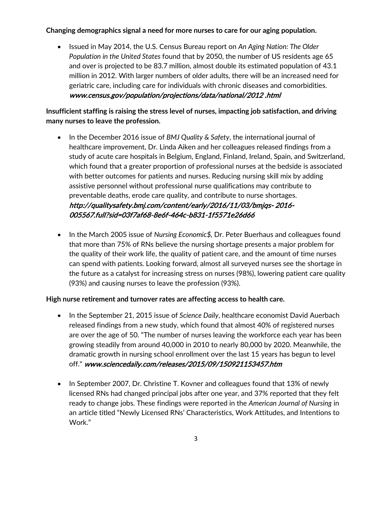## **Changing demographics signal a need for more nurses to care for our aging population.**

• Issued in May 2014, the U.S. Census Bureau report on *An Aging Nation: The Older Population in the United States* found that by 2050, the number of US residents age 65 and over is projected to be 83.7 million, almost double its estimated population of 43.1 million in 2012. With larger numbers of older adults, there will be an increased need for geriatric care, including care for individuals with chronic diseases and comorbidities. [www.census.gov/population/projections/data/national/2012 .html](http://www.census.gov/population/projections/data/national/2012%20.html)

**Insufficient staffing is raising the stress level of nurses, impacting job satisfaction, and driving many nurses to leave the profession.**

- In the December 2016 issue of *BMJ Quality & Safety*, the international journal of healthcare improvement, Dr. Linda Aiken and her colleagues released findings from a study of acute care hospitals in Belgium, England, Finland, Ireland, Spain, and Switzerland, which found that a greater proportion of professional nurses at the bedside is associated with better outcomes for patients and nurses. Reducing nursing skill mix by adding assistive personnel without professional nurse qualifications may contribute to preventable deaths, erode care quality, and contribute to nurse shortages. [http://qualitysafety.bmj.com/content/early/2016/11/03/bmjqs- 2016-](http://qualitysafety.bmj.com/content/early/2016/11/03/bmjqs-2016-005567.full?sid=03f7af68-8e6f-464c-b831-1f5571e26d66) [005567.full?sid=03f7af68-8e6f-464c-b831-1f5571e26d66](http://qualitysafety.bmj.com/content/early/2016/11/03/bmjqs-2016-005567.full?sid=03f7af68-8e6f-464c-b831-1f5571e26d66)
- In the March 2005 issue of *Nursing Economic\$,* Dr. Peter Buerhaus and colleagues found that more than 75% of RNs believe the nursing shortage presents a major problem for the quality of their work life, the quality of patient care, and the amount of time nurses can spend with patients. Looking forward, almost all surveyed nurses see the shortage in the future as a catalyst for increasing stress on nurses (98%), lowering patient care quality (93%) and causing nurses to leave the profession (93%).

#### **High nurse retirement and turnover rates are affecting access to health care.**

- In the September 21, 2015 issue of *Science Daily*, healthcare economist David Auerbach released findings from a new study, which found that almost 40% of registered nurses are over the age of 50. "The number of nurses leaving the workforce each year has been growing steadily from around 40,000 in 2010 to nearly 80,000 by 2020. Meanwhile, the dramatic growth in nursing school enrollment over the last 15 years has begun to level off." www.sciencedaily.com/releases/2015/09/150921153457.htm
- In September 2007, Dr. Christine T. Kovner and colleagues found that 13% of newly licensed RNs had changed principal jobs after one year, and 37% reported that they felt ready to change jobs. These findings were reported in the *American Journal of Nursing* in an article titled "Newly Licensed RNs' Characteristics, Work Attitudes, and Intentions to Work."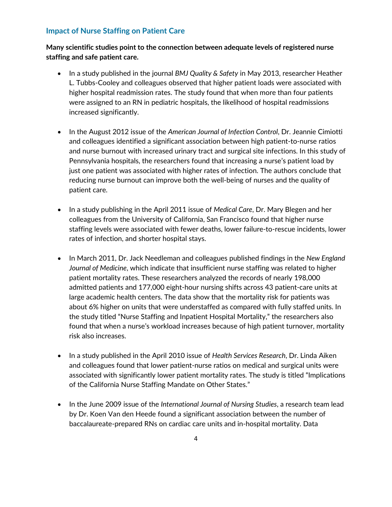### **Impact of Nurse Staffing on Patient Care**

**Many scientific studies point to the connection between adequate levels of registered nurse staffing and safe patient care.**

- In a study published in the journal *BMJ Quality & Safety* in May 2013, researcher Heather L. Tubbs-Cooley and colleagues observed that higher patient loads were associated with higher hospital readmission rates. The study found that when more than four patients were assigned to an RN in pediatric hospitals, the likelihood of hospital readmissions increased significantly.
- In the August 2012 issue of the *American Journal of Infection Control*, Dr. Jeannie Cimiotti and colleagues identified a significant association between high patient-to-nurse ratios and nurse burnout with increased urinary tract and surgical site infections. In this study of Pennsylvania hospitals, the researchers found that increasing a nurse's patient load by just one patient was associated with higher rates of infection. The authors conclude that reducing nurse burnout can improve both the well-being of nurses and the quality of patient care.
- In a study publishing in the April 2011 issue of *Medical Care*, Dr. Mary Blegen and her colleagues from the University of California, San Francisco found that higher nurse staffing levels were associated with fewer deaths, lower failure-to-rescue incidents, lower rates of infection, and shorter hospital stays.
- In March 2011, Dr. Jack Needleman and colleagues published findings in the *New England Journal of Medicine*, which indicate that insufficient nurse staffing was related to higher patient mortality rates. These researchers analyzed the records of nearly 198,000 admitted patients and 177,000 eight-hour nursing shifts across 43 patient-care units at large academic health centers. The data show that the mortality risk for patients was about 6% higher on units that were understaffed as compared with fully staffed units. In the study titled "Nurse Staffing and Inpatient Hospital Mortality," the researchers also found that when a nurse's workload increases because of high patient turnover, mortality risk also increases.
- In a study published in the April 2010 issue of *Health Services Research*, Dr. Linda Aiken and colleagues found that lower patient-nurse ratios on medical and surgical units were associated with significantly lower patient mortality rates. The study is titled "Implications of the California Nurse Staffing Mandate on Other States."
- In the June 2009 issue of the *International Journal of Nursing Studies*, a research team lead by Dr. Koen Van den Heede found a significant association between the number of baccalaureate-prepared RNs on cardiac care units and in-hospital mortality. Data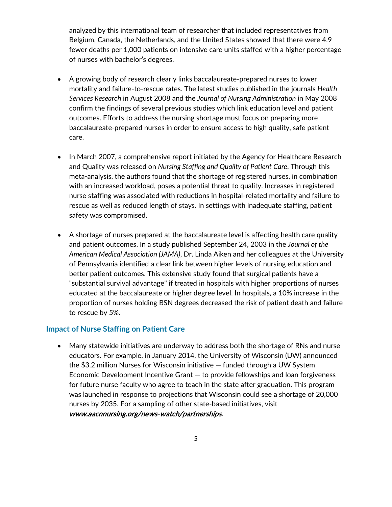analyzed by this international team of researcher that included representatives from Belgium, Canada, the Netherlands, and the United States showed that there were 4.9 fewer deaths per 1,000 patients on intensive care units staffed with a higher percentage of nurses with bachelor's degrees.

- A growing body of research clearly links baccalaureate-prepared nurses to lower mortality and failure-to-rescue rates. The latest studies published in the journals *Health Services Research* in August 2008 and the *Journal of Nursing Administration* in May 2008 confirm the findings of several previous studies which link education level and patient outcomes. Efforts to address the nursing shortage must focus on preparing more baccalaureate-prepared nurses in order to ensure access to high quality, safe patient care.
- In March 2007, a comprehensive report initiated by the Agency for Healthcare Research and Quality was released on *Nursing Staffing and Quality of Patient Care*. Through this meta-analysis, the authors found that the shortage of registered nurses, in combination with an increased workload, poses a potential threat to quality. Increases in registered nurse staffing was associated with reductions in hospital-related mortality and failure to rescue as well as reduced length of stays. In settings with inadequate staffing, patient safety was compromised.
- A shortage of nurses prepared at the baccalaureate level is affecting health care quality and patient outcomes. In a study published September 24, 2003 in the *Journal of the American Medical Association (JAMA)*, Dr. Linda Aiken and her colleagues at the University of Pennsylvania identified a clear link between higher levels of nursing education and better patient outcomes. This extensive study found that surgical patients have a "substantial survival advantage" if treated in hospitals with higher proportions of nurses educated at the baccalaureate or higher degree level. In hospitals, a 10% increase in the proportion of nurses holding BSN degrees decreased the risk of patient death and failure to rescue by 5%.

#### **Impact of Nurse Staffing on Patient Care**

• Many statewide initiatives are underway to address both the shortage of RNs and nurse educators. For example, in January 2014, the University of Wisconsin (UW) announced the \$3.2 million Nurses for Wisconsin initiative — funded through a UW System Economic Development Incentive Grant — to provide fellowships and loan forgiveness for future nurse faculty who agree to teach in the state after graduation. This program was launched in response to projections that Wisconsin could see a shortage of 20,000 nurses by 2035. For a sampling of other state-based initiatives, visit www.aacnnursing.org/news-watch/partnerships.